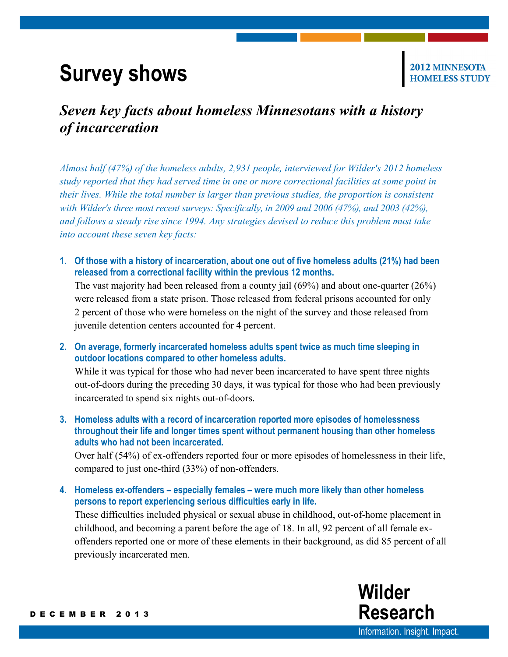## **Survey shows**

2012 MINNESOTA

## *Seven key facts about homeless Minnesotans with a history of incarceration*

*Almost half (47%) of the homeless adults, 2,931 people, interviewed for Wilder's 2012 homeless study reported that they had served time in one or more correctional facilities at some point in their lives. While the total number is larger than previous studies, the proportion is consistent with Wilder's three most recent surveys: Specifically, in 2009 and 2006 (47%), and 2003 (42%), and follows a steady rise since 1994. Any strategies devised to reduce this problem must take into account these seven key facts:*

**1. Of those with a history of incarceration, about one out of five homeless adults (21%) had been released from a correctional facility within the previous 12 months.**

The vast majority had been released from a county jail (69%) and about one-quarter (26%) were released from a state prison. Those released from federal prisons accounted for only 2 percent of those who were homeless on the night of the survey and those released from juvenile detention centers accounted for 4 percent.

**2. On average, formerly incarcerated homeless adults spent twice as much time sleeping in outdoor locations compared to other homeless adults.** 

While it was typical for those who had never been incarcerated to have spent three nights out-of-doors during the preceding 30 days, it was typical for those who had been previously incarcerated to spend six nights out-of-doors.

**3. Homeless adults with a record of incarceration reported more episodes of homelessness throughout their life and longer times spent without permanent housing than other homeless adults who had not been incarcerated.**

Over half (54%) of ex-offenders reported four or more episodes of homelessness in their life, compared to just one-third (33%) of non-offenders.

**4. Homeless ex-offenders – especially females – were much more likely than other homeless persons to report experiencing serious difficulties early in life.**

These difficulties included physical or sexual abuse in childhood, out-of-home placement in childhood, and becoming a parent before the age of 18. In all, 92 percent of all female exoffenders reported one or more of these elements in their background, as did 85 percent of all previously incarcerated men.



[Information.](http://www.wilderresearch.org/) Insight. Impact.

**Wilder**

**Research**